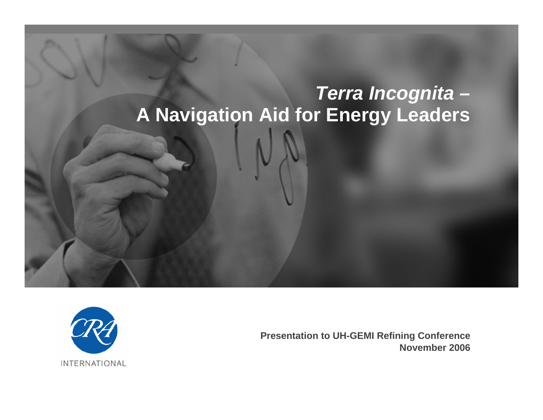# *Terra Incognita –* **A Navigation Aid for Energy Leaders**



**Presentation to UH-GEMI Refining Conference November 2006**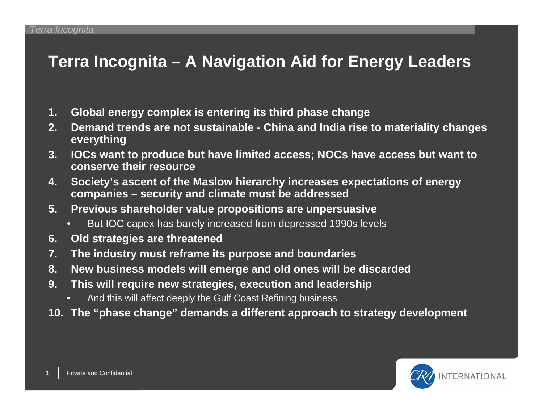#### **Terra Incognita – A Navigation Aid for Energy Leaders**

- **1. Global energy complex is entering its third phase change**
- **2. Demand trends are not sustainable - China and India rise to materiality changes everything**
- **3. IOCs want to produce but have limited access; NOCs have access but want to conserve their resource**
- **4. Society's ascent of the Maslow hierarchy increases expectations of energy companies – security and climate must be addressed**
- **5. Previous shareholder value propositions are unpersuasive**
	- •But IOC capex has barely increased from depressed 1990s levels
- **6. Old strategies are threatened**
- **7. The industry must reframe its purpose and boundaries**
- **8. New business models will emerge and old ones will be discarded**
- **9. This will require new strategies, execution and leadership** 
	- •And this will affect deeply the Gulf Coast Refining business
- **10. The "phase change" demands a different approach to strategy development**

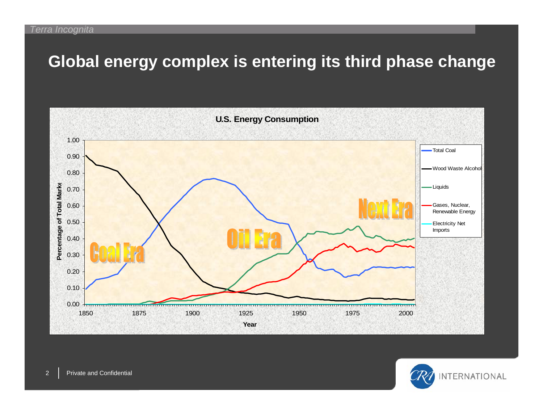#### **Global energy complex is entering its third phase change**



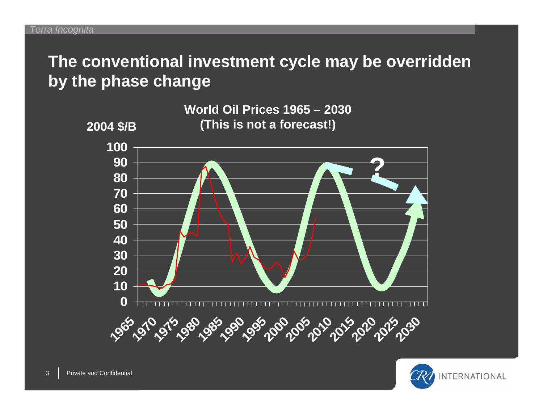#### **The conventional investment cycle may be overridden by the phase change**



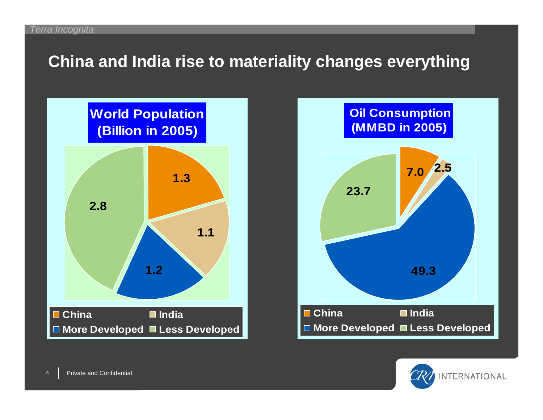#### **China and India rise to materiality changes everything**





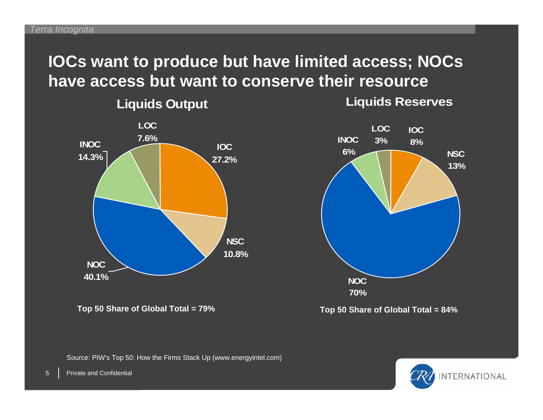# **IOCs want to produce but have limited access; NOCs have access but want to conserve their resource**



**Top 50 Share of Global Total = 79% Top 50 Share of Global Total = 84%**

**Liquids Reserves**



Source: PIW's Top 50: How the Firms Stack Up (www.energyintel.com)



5 | Private and Confidential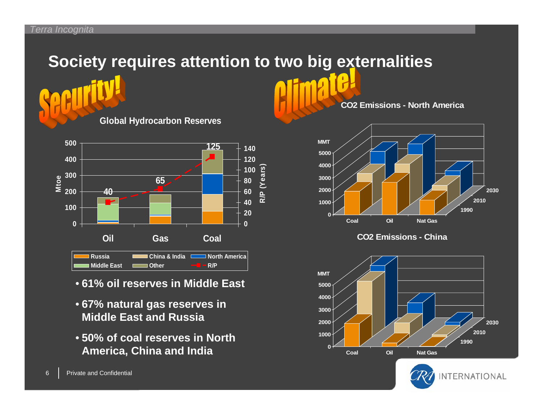#### *Terra Incognita*

# **Society requires attention to two big externalities CO2 Emissions - North America**



**Global Hydrocarbon Reserves**

- **61% oil reserves in Middle East**
- **67% natural gas reserves in Middle East and Russia**
- **50% of coal reserves in North America, China and India**

**MMTCoal Oil Nat GasMMTCO2 Emissions - China**



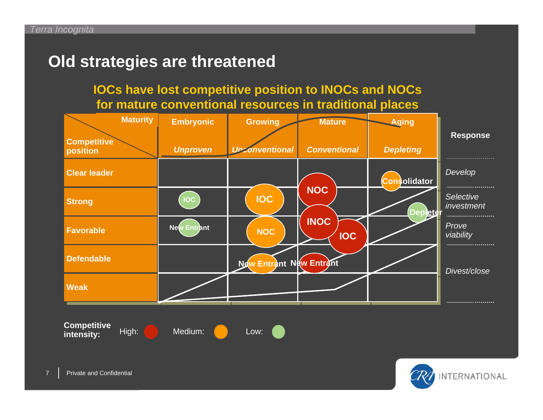#### **Old strategies are threatened**

**IOCs have lost competitive position to INOCs and NOCs for mature conventional resources in traditional places**



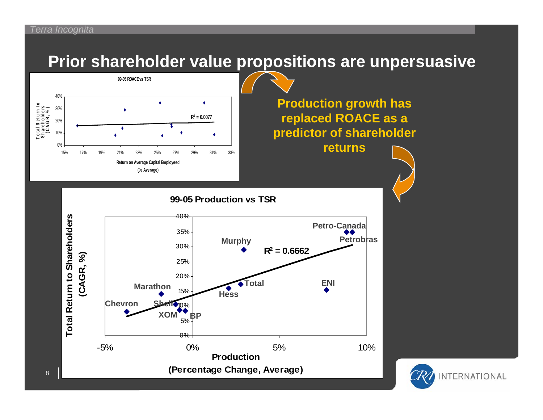#### **Prior shareholder value propositions are unpersuasive**



**returns**

#### **99-05 Production vs TSR**



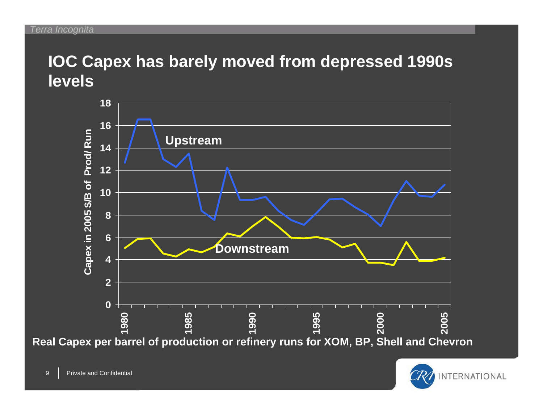## **IOC Capex has barely moved from depressed 1990s levels**



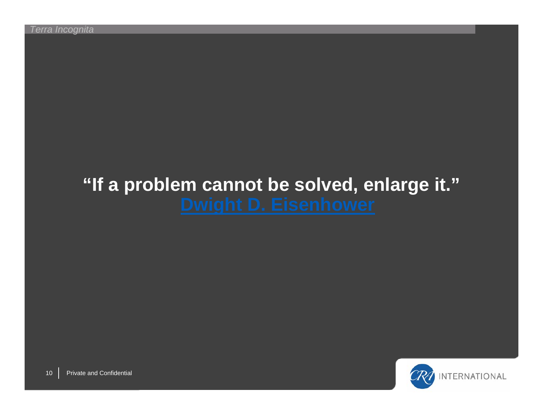# **"If a problem cannot be solved, enlarge it."**

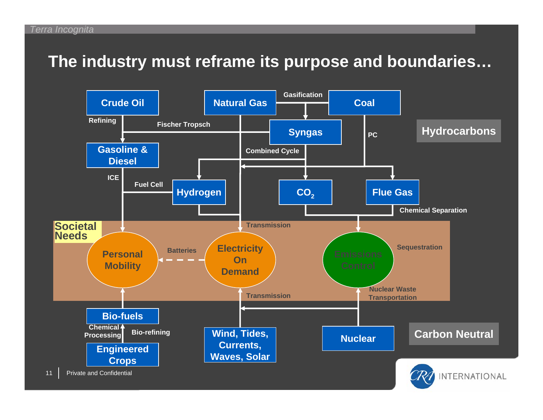#### **The industry must reframe its purpose and boundaries…**

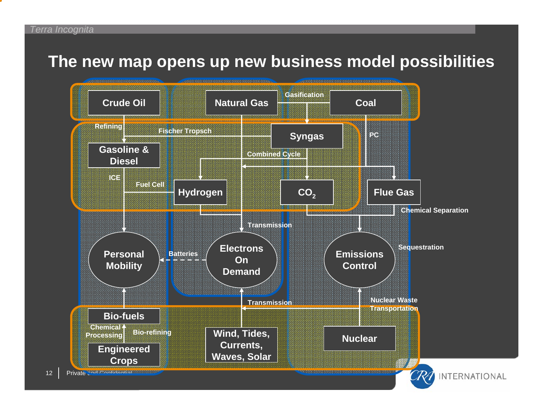#### **The new map opens up new business model possibilities**

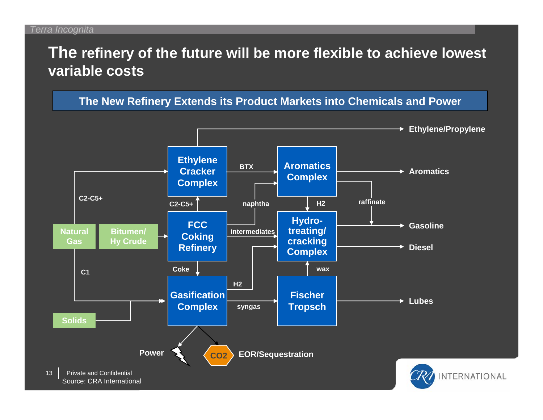#### **The refinery of the future will be more flexible to achieve lowest variable costs**

**The New Refinery Extends its Product Markets into Chemicals and Power**

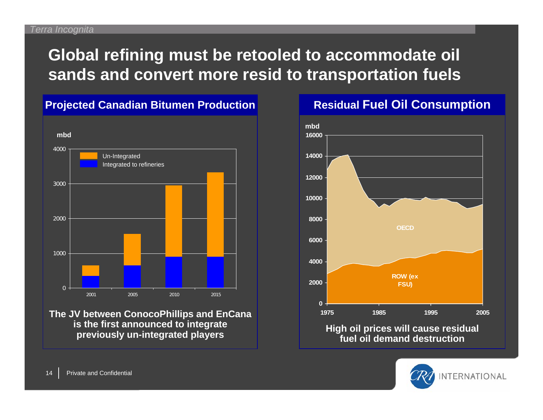# **Global refining must be retooled to accommodate oil sands and convert more resid to transportation fuels**



**Projected Canadian Bitumen Production**

**The JV between ConocoPhillips and EnCana is the first announced to integrate previously un-integrated players**



**Residual Fuel Oil Consumption**

**High oil prices will cause residual fuel oil demand destruction**

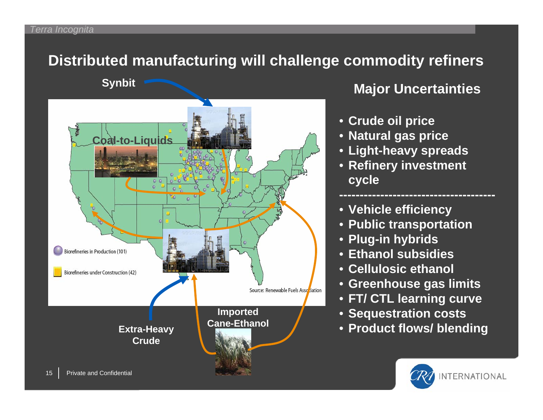#### **Distributed manufacturing will challenge commodity refiners**

**Synbit**



#### **Major Uncertainties**

- **Crude oil price**
- **Natural gas price**
- **Light-heavy spreads**
- **Refinery investment cycle**
- **Vehicle efficiency**
- **Public transportation**

**--------------------------------------**

- **Plug-in hybrids**
- **Ethanol subsidies**
- **Cellulosic ethanol**
- **Greenhouse gas limits**
- **FT/ CTL learning curve**
- **Sequestration costs**
- **Product flows/ blending**

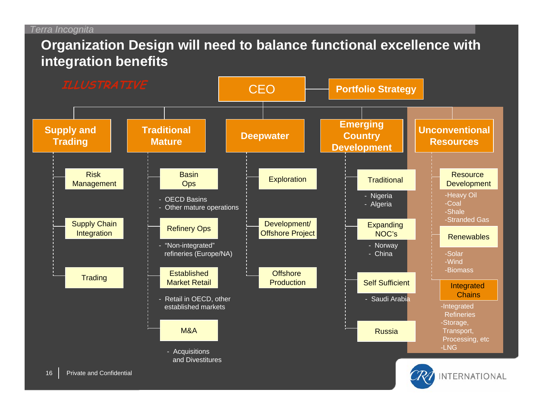#### *Terra Incognita*

#### **Organization Design will need to balance functional excellence with integration benefits**



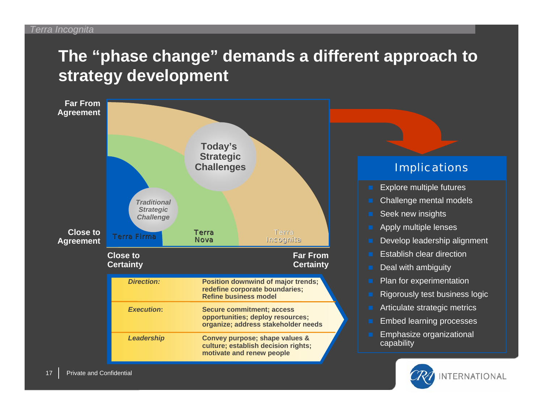#### **The "phase change" demands a different approach to strategy development**



#### **Implications**

- Explore multiple futures
- Challenge mental models
- Seek new insights
- Apply multiple lenses
- Develop leadership alignment
- Establish clear direction
- Deal with ambiguity
- Plan for experimentation
- Rigorously test business logic
- Articulate strategic metrics
- Embed learning processes
- Emphasize organizational capability

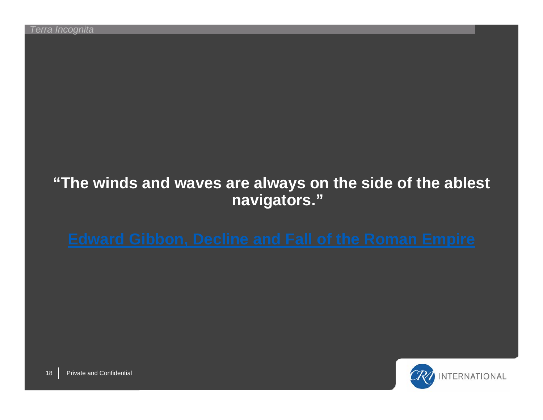#### **"The winds and waves are always on the side of the ablest navigators."**